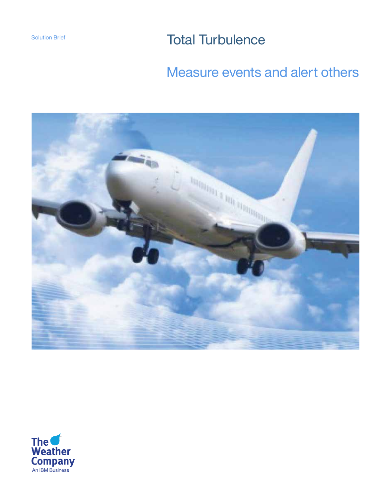Solution Brief **Total Turbulence** 

# Measure events and alert others



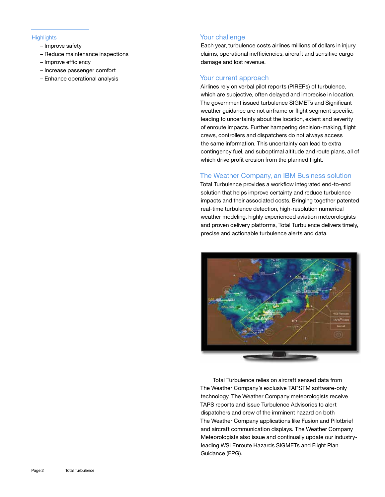- Improve safety
- Reduce maintenance inspections
- Improve efficiency
- Increase passenger comfort
- Enhance operational analysis

#### Highlights Your challenge

Each year, turbulence costs airlines millions of dollars in injury claims, operational inefficiencies, aircraft and sensitive cargo damage and lost revenue.

#### Your current approach

Airlines rely on verbal pilot reports (PIREPs) of turbulence, which are subjective, often delayed and imprecise in location. The government issued turbulence SIGMETs and Significant weather guidance are not airframe or flight segment specific, leading to uncertainty about the location, extent and severity of enroute impacts. Further hampering decision-making, flight crews, controllers and dispatchers do not always access the same information. This uncertainty can lead to extra contingency fuel, and suboptimal altitude and route plans, all of which drive profit erosion from the planned flight.

#### The Weather Company, an IBM Business solution

Total Turbulence provides a workflow integrated end-to-end solution that helps improve certainty and reduce turbulence impacts and their associated costs. Bringing together patented real-time turbulence detection, high-resolution numerical weather modeling, highly experienced aviation meteorologists and proven delivery platforms, Total Turbulence delivers timely, precise and actionable turbulence alerts and data.



Total Turbulence relies on aircraft sensed data from The Weather Company's exclusive TAPSTM software-only technology. The Weather Company meteorologists receive TAPS reports and issue Turbulence Advisories to alert dispatchers and crew of the imminent hazard on both The Weather Company applications like Fusion and Pilotbrief and aircraft communication displays. The Weather Company Meteorologists also issue and continually update our industryleading WSI Enroute Hazards SIGMETs and Flight Plan Guidance (FPG).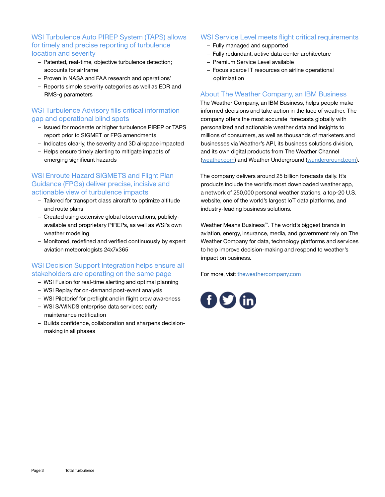## WSI Turbulence Auto PIREP System (TAPS) allows for timely and precise reporting of turbulence location and severity

- Patented, real-time, objective turbulence detection; accounts for airframe
- Proven in NASA and FAA research and operations<sup>1</sup>
- Reports simple severity categories as well as EDR and RMS-g parameters

## WSI Turbulence Advisory fills critical information gap and operational blind spots

- Issued for moderate or higher turbulence PIREP or TAPS report prior to SIGMET or FPG amendments
- Indicates clearly, the severity and 3D airspace impacted
- Helps ensure timely alerting to mitigate impacts of emerging significant hazards

#### WSI Enroute Hazard SIGMETS and Flight Plan Guidance (FPGs) deliver precise, incisive and actionable view of turbulence impacts

- Tailored for transport class aircraft to optimize altitude and route plans
- Created using extensive global observations, publiclyavailable and proprietary PIREPs, as well as WSI's own weather modeling
- Monitored, redefined and verified continuously by expert aviation meteorologists 24x7x365

# WSI Decision Support Integration helps ensure all stakeholders are operating on the same page

- WSI Fusion for real-time alerting and optimal planning
- WSI Replay for on-demand post-event analysis
- WSI Pilotbrief for preflight and in flight crew awareness
- WSI S/WINDS enterprise data services; early maintenance notification
- Builds confidence, collaboration and sharpens decisionmaking in all phases

## WSI Service Level meets flight critical requirements

- Fully managed and supported
- Fully redundant, active data center architecture
- Premium Service Level available
- Focus scarce IT resources on airline operational optimization

#### About The Weather Company, an IBM Business

The Weather Company, an IBM Business, helps people make informed decisions and take action in the face of weather. The company offers the most accurate forecasts globally with personalized and actionable weather data and insights to millions of consumers, as well as thousands of marketers and businesses via Weather's API, its business solutions division, and its own digital products from The Weather Channel [\(weather.com\) a](www.weather.com)nd Weather Undergroun[d \(wunderground.com\).](www.wunderground.com)

The company delivers around 25 billion forecasts daily. It's products include the world's most downloaded weather app, a network of 250,000 personal weather stations, a top-20 U.S. website, one of the world's largest IoT data platforms, and industry-leading business solutions.

Weather Means Business™. The world's biggest brands in aviation, energy, insurance, media, and government rely on The Weather Company for data, technology platforms and services to help improve decision-making and respond to weather's impact on business.

For more, vi[sit theweathercompany.com](www.theweathercompany.com)